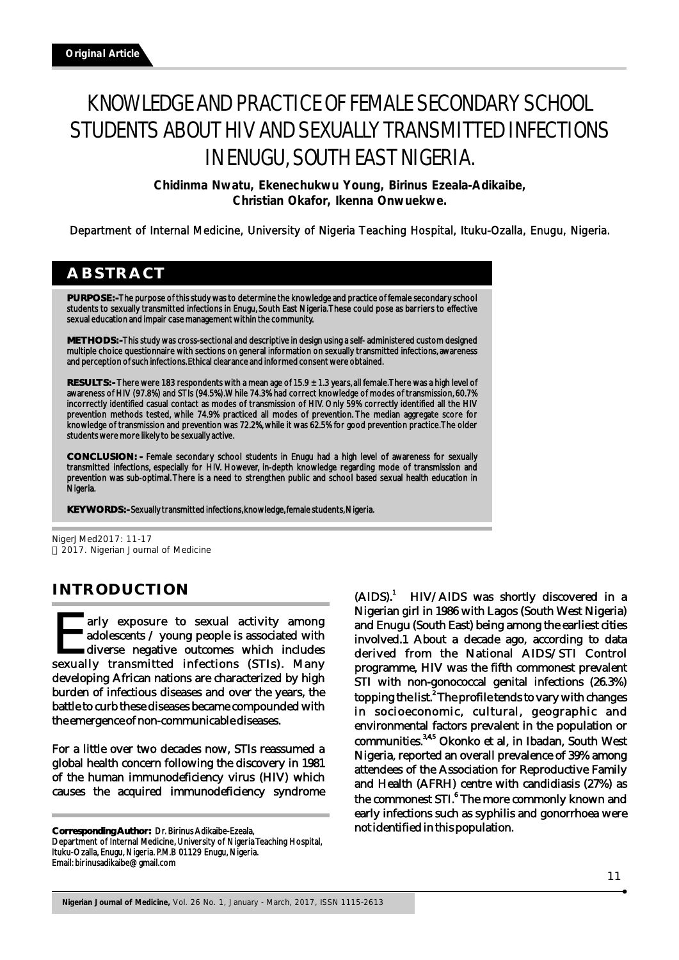# KNOWLEDGE AND PRACTICE OF FEMALE SECONDARY SCHOOL STUDENTS ABOUT HIV AND SEXUALLY TRANSMITTED INFECTIONS IN ENUGU, SOUTH EAST NIGERIA.

**Chidinma Nwatu, Ekenechukwu Young, Birinus Ezeala-Adikaibe, Christian Okafor, Ikenna Onwuekwe.**

Department of Internal Medicine, University of Nigeria Teaching Hospital, Ituku-Ozalla, Enugu, Nigeria.

# **ABSTRACT**

**PURPOSE: -** The purpose of this study was to determine the knowledge and practice of female secondary school students to sexually transmitted infections in Enugu, South East Nigeria. These could pose as barriers to effective sexual education and impair case management within the community.

**METHODS: -** This study was cross-sectional and descriptive in design using a self- administered custom designed multiple choice questionnaire with sections on general information on sexually transmitted infections, awareness and perception of such infections. Ethical clearance and informed consent were obtained.

**RESULTS: -** There were 183 respondents with a mean age of 15.9 ± 1.3 years, all female. There was a high level of awareness of HIV (97.8%) and STIs (94.5%). While 74.3% had correct knowledge of modes of transmission, 60.7% incorrectly identified casual contact as modes of transmission of HIV. Only 59% correctly identified all the HIV prevention methods tested, while 74.9% practiced all modes of prevention. The median aggregate score for knowledge of transmission and prevention was 72.2%, while it was 62.5% for good prevention practice. The older students were more likely to be sexually active.

**CONCLUSION: -** Female secondary school students in Enugu had a high level of awareness for sexually transmitted infections, especially for HIV. However, in-depth knowledge regarding mode of transmission and prevention was sub-optimal. There is a need to strengthen public and school based sexual health education in Nigeria.

**KEY WORDS: -** Sexually transmitted infections, knowledge, female students, Nigeria.

NigerJMed2017: 11-17 2017. Nigerian Journal of Medicine

# **INTRODUCTION**

arly exposure to sexual activity among<br>adolescents / young people is associated with arly exposure to sexual activity among<br>adolescents / young people is associated with<br>diverse negative outcomes which includes<br>sexually transmitted infections (STIs). Many developing African nations are characterized by high burden of infectious diseases and over the years, the battle to curb these diseases became compounded with the emergence of non-communicable diseases.

For a little over two decades now, STIs reassumed a global health concern following the discovery in 1981 of the human immunodeficiency virus (HIV) which causes the acquired immunodeficiency syndrome

**Corresponding Author:** Dr. Birinus Adikaibe-Ezeala,

 $(AIDS)^1$ HIV/AIDS was shortly discovered in a Nigerian girl in 1986 with Lagos (South West Nigeria) and Enugu (South East) being among the earliest cities involved.1 About a decade ago, according to data derived from the National AIDS/STI Control programme, HIV was the fifth commonest prevalent STI with non-gonococcal genital infections (26.3%) topping the list.<sup>2</sup> The profile tends to vary with changes in socioeconomic, cultural, geographic and environmental factors prevalent in the population or communities.<sup>3,4,5</sup> Okonko et al, in Ibadan, South West Nigeria, reported an overall prevalence of 39% among attendees of the Association for Reproductive Family and Health (AFRH) centre with candidiasis (27%) as the commonest STI.<sup>6</sup> The more commonly known and early infections such as syphilis and gonorrhoea were not identified in this population.

Department of Internal Medicine, University of Nigeria Teaching Hospital, Ituku-Ozalla, Enugu, Nigeria. P.M.B 01129 Enugu, Nigeria. Email: birinusadikaibe@gmail.com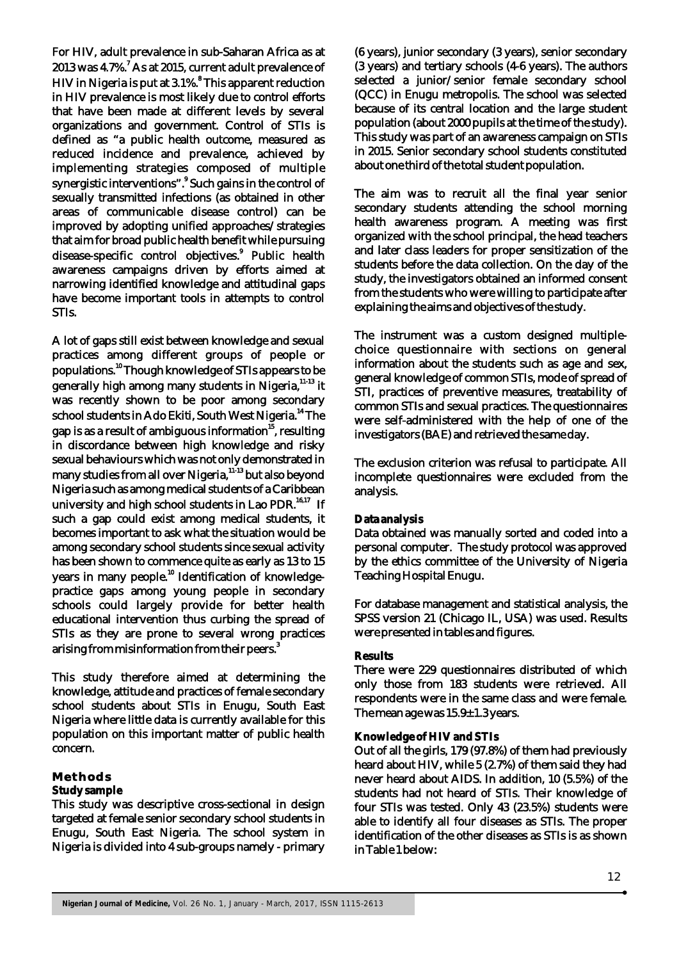For HIV, adult prevalence in sub-Saharan Africa as at  $2013$  was 4.7%. $7$  As at 2015, current adult prevalence of <sup>8</sup> HIV in Nigeria is put at 3.1%. This apparent reduction in HIV prevalence is most likely due to control efforts that have been made at different levels by several organizations and government. Control of STIs is defined as "a public health outcome, measured as reduced incidence and prevalence, achieved by implementing strategies composed of multiple synergistic interventions".<sup>9</sup> Such gains in the control of sexually transmitted infections (as obtained in other areas of communicable disease control) can be improved by adopting unified approaches/strategies that aim for broad public health benefit while pursuing disease-specific control objectives.<sup>9</sup> Public health awareness campaigns driven by efforts aimed at narrowing identified knowledge and attitudinal gaps have become important tools in attempts to control STIs.

A lot of gaps still exist between knowledge and sexual practices among different groups of people or populations.<sup>10</sup> Though knowledge of STIs appears to be generally high among many students in Nigeria, <sup>11-13</sup> it was recently shown to be poor among secondary school students in Ado Ekiti, South West Nigeria.<sup>14</sup> The gap is as a result of ambiguous information $^{15}$ , resulting in discordance between high knowledge and risky sexual behaviours which was not only demonstrated in many studies from all over Nigeria,  $11-13$  but also beyond Nigeria such as among medical students of a Caribbean university and high school students in Lao PDR.<sup>16,17</sup> If such a gap could exist among medical students, it becomes important to ask what the situation would be among secondary school students since sexual activity has been shown to commence quite as early as 13 to 15 years in many people.<sup>10</sup> Identification of knowledgepractice gaps among young people in secondary schools could largely provide for better health educational intervention thus curbing the spread of STIs as they are prone to several wrong practices arising from misinformation from their peers. $^3$ 

This study therefore aimed at determining the knowledge, attitude and practices of female secondary school students about STIs in Enugu, South East Nigeria where little data is currently available for this population on this important matter of public health concern.

#### **Methods**

#### **Study sample**

This study was descriptive cross-sectional in design targeted at female senior secondary school students in Enugu, South East Nigeria. The school system in Nigeria is divided into 4 sub-groups namely - primary

(6 years), junior secondary (3 years), senior secondary (3 years) and tertiary schools (4-6 years). The authors selected a junior/senior female secondary school (QCC) in Enugu metropolis. The school was selected because of its central location and the large student population (about 2000 pupils at the time of the study). This study was part of an awareness campaign on STIs in 2015. Senior secondary school students constituted about one third of the total student population.

The aim was to recruit all the final year senior secondary students attending the school morning health awareness program. A meeting was first organized with the school principal, the head teachers and later class leaders for proper sensitization of the students before the data collection. On the day of the study, the investigators obtained an informed consent from the students who were willing to participate after explaining the aims and objectives of the study.

The instrument was a custom designed multiplechoice questionnaire with sections on general information about the students such as age and sex, general knowledge of common STIs, mode of spread of STI, practices of preventive measures, treatability of common STIs and sexual practices. The questionnaires were self-administered with the help of one of the investigators (BAE) and retrieved the same day.

The exclusion criterion was refusal to participate. All incomplete questionnaires were excluded from the analysis.

#### **Data analysis**

Data obtained was manually sorted and coded into a personal computer. The study protocol was approved by the ethics committee of the University of Nigeria Teaching Hospital Enugu.

For database management and statistical analysis, the SPSS version 21 (Chicago IL, USA) was used. Results were presented in tables and figures.

#### **Results**

There were 229 questionnaires distributed of which only those from 183 students were retrieved. All respondents were in the same class and were female. The mean age was 15.9-1.3 years.

#### **Knowledge of HIV and STIs**

Out of all the girls, 179 (97.8%) of them had previously heard about HIV, while 5 (2.7%) of them said they had never heard about AIDS. In addition, 10 (5.5%) of the students had not heard of STIs. Their knowledge of four STIs was tested. Only 43 (23.5%) students were able to identify all four diseases as STIs. The proper identification of the other diseases as STIs is as shown in Table 1 below: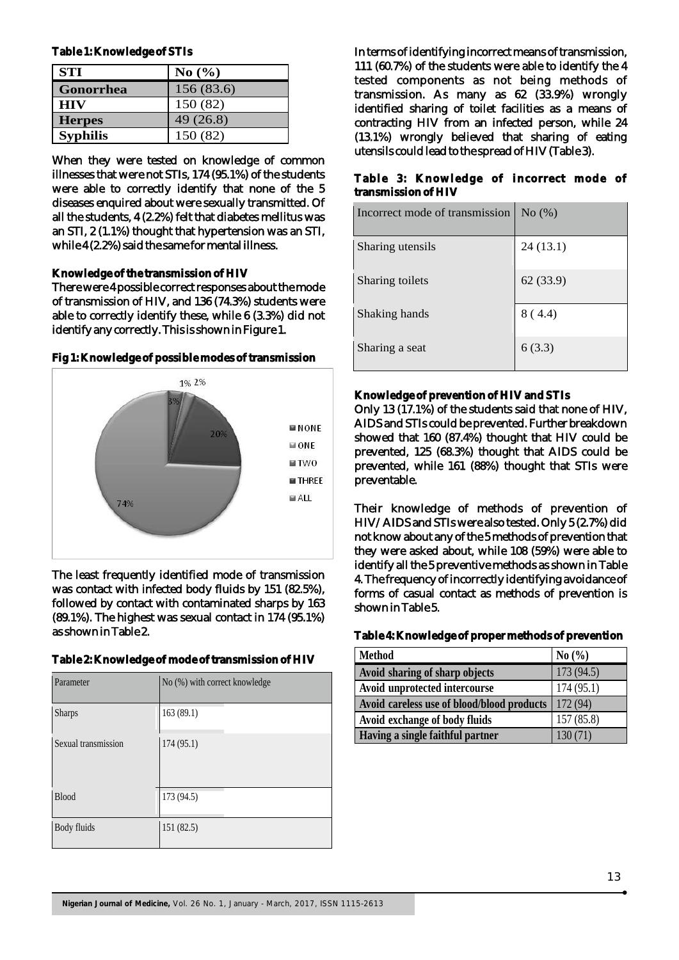**Table 1: Knowledge of STIs**

| <b>STI</b>       | No $(\% )$ |
|------------------|------------|
| <b>Gonorrhea</b> | 156 (83.6) |
| <b>HIV</b>       | 150 (82)   |
| <b>Herpes</b>    | 49(26.8)   |
| <b>Syphilis</b>  | 150 (82)   |

When they were tested on knowledge of common illnesses that were not STIs, 174 (95.1%) of the students were able to correctly identify that none of the 5 diseases enquired about were sexually transmitted. Of all the students, 4 (2.2%) felt that diabetes mellitus was an STI, 2 (1.1%) thought that hypertension was an STI, while 4 (2.2%) said the same for mental illness.

#### **Knowledge of the transmission of HIV**

There were 4 possible correct responses about the mode of transmission of HIV, and 136 (74.3%) students were able to correctly identify these, while 6 (3.3%) did not identify any correctly. This is shown in Figure 1.

#### **Fig 1: Knowledge of possible modes of transmission**



The least frequently identified mode of transmission was contact with infected body fluids by 151 (82.5%), followed by contact with contaminated sharps by 163 (89.1%). The highest was sexual contact in 174 (95.1%) as shown in Table 2.

#### **Table 2: Knowledge of mode of transmission of HIV**

| Parameter           | No (%) with correct knowledge |
|---------------------|-------------------------------|
| <b>Sharps</b>       | 163(89.1)                     |
| Sexual transmission | 174(95.1)                     |
| <b>Blood</b>        | 173 (94.5)                    |
| Body fluids         | 151(82.5)                     |

In terms of identifying incorrect means of transmission, 111 (60.7%) of the students were able to identify the 4 tested components as not being methods of transmission. As many as 62 (33.9%) wrongly identified sharing of toilet facilities as a means of contracting HIV from an infected person, while 24 (13.1%) wrongly believed that sharing of eating utensils could lead to the spread of HIV (Table 3).

### **Table 3: Knowledge of incorrect mode of transmission of HIV**

| Incorrect mode of transmission | No(%)     |
|--------------------------------|-----------|
| Sharing utensils               | 24 (13.1) |
| Sharing toilets                | 62(33.9)  |
| Shaking hands                  | 8(4.4)    |
| Sharing a seat                 | 6(3.3)    |

# **Knowledge of prevention of HIV and STIs**

Only 13 (17.1%) of the students said that none of HIV, AIDS and STIs could be prevented. Further breakdown showed that 160 (87.4%) thought that HIV could be prevented, 125 (68.3%) thought that AIDS could be prevented, while 161 (88%) thought that STIs were preventable.

Their knowledge of methods of prevention of HIV/AIDS and STIs were also tested. Only 5 (2.7%) did not know about any of the 5 methods of prevention that they were asked about, while 108 (59%) were able to identify all the 5 preventive methods as shown in Table 4. The frequency of incorrectly identifying avoidance of forms of casual contact as methods of prevention is shown in Table 5.

## **Table 4: Knowledge of proper methods of prevention**

| <b>Method</b>                              | No(%)      |
|--------------------------------------------|------------|
| Avoid sharing of sharp objects             | 173(94.5)  |
| Avoid unprotected intercourse              | 174(95.1)  |
| Avoid careless use of blood/blood products | 172(94)    |
| Avoid exchange of body fluids              | 157 (85.8) |
| Having a single faithful partner           | 130(71)    |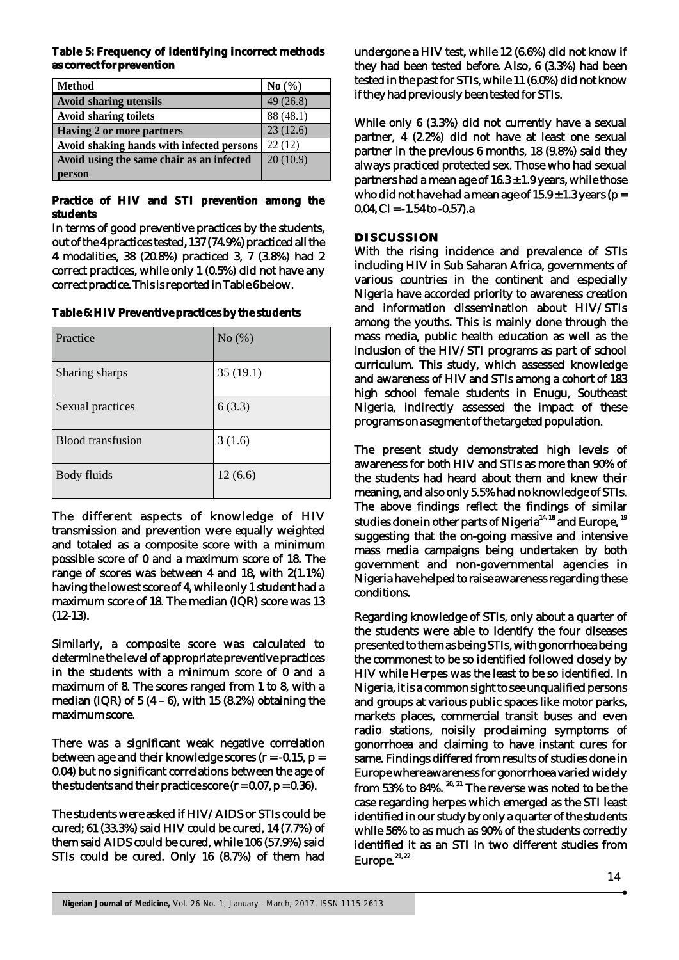**Table 5: Frequency of identifying incorrect methods as correct for prevention**

| <b>Method</b>                             | No $(\% )$ |
|-------------------------------------------|------------|
| <b>Avoid sharing utensils</b>             | 49(26.8)   |
| <b>Avoid sharing toilets</b>              | 88 (48.1)  |
| <b>Having 2 or more partners</b>          | 23(12.6)   |
| Avoid shaking hands with infected persons | 22(12)     |
| Avoid using the same chair as an infected | 20(10.9)   |
| person                                    |            |

**Practice of HIV and STI prevention among the students**

In terms of good preventive practices by the students, out of the 4 practices tested, 137 (74.9%) practiced all the 4 modalities, 38 (20.8%) practiced 3, 7 (3.8%) had 2 correct practices, while only 1 (0.5%) did not have any correct practice. This is reported in Table 6 below.

**Table 6: HIV Preventive practices by the students**

| Practice          | No $(\%)$ |
|-------------------|-----------|
| Sharing sharps    | 35(19.1)  |
| Sexual practices  | 6(3.3)    |
| Blood transfusion | 3(1.6)    |
| Body fluids       | 12(6.6)   |

The different aspects of knowledge of HIV transmission and prevention were equally weighted and totaled as a composite score with a minimum possible score of 0 and a maximum score of 18. The range of scores was between 4 and 18, with 2(1.1%) having the lowest score of 4, while only 1 student had a maximum score of 18. The median (IQR) score was 13 (12-13).

Similarly, a composite score was calculated to determine the level of appropriate preventive practices in the students with a minimum score of 0 and a maximum of 8. The scores ranged from 1 to 8, with a median (IQR) of  $5(4-6)$ , with 15 (8.2%) obtaining the maximum score.

There was a significant weak negative correlation between age and their knowledge scores  $(r = -0.15, p =$ 0.04) but no significant correlations between the age of the students and their practice score  $(r = 0.07, p = 0.36)$ .

The students were asked if HIV/AIDS or STIs could be cured; 61 (33.3%) said HIV could be cured, 14 (7.7%) of them said AIDS could be cured, while 106 (57.9%) said STIs could be cured. Only 16 (8.7%) of them had undergone a HIV test, while 12 (6.6%) did not know if they had been tested before. Also, 6 (3.3%) had been tested in the past for STIs, while 11 (6.0%) did not know if they had previously been tested for STIs.

While only 6 (3.3%) did not currently have a sexual partner, 4 (2.2%) did not have at least one sexual partner in the previous 6 months, 18 (9.8%) said they always practiced protected sex. Those who had sexual partners had a mean age of 16.3 – 1.9 years, while those who did not have had a mean age of  $15.9 - 1.3$  years (p = 0.04, CI =  $-1.54$  to  $-0.57$ ).a

## **DISCUSSION**

With the rising incidence and prevalence of STIs including HIV in Sub Saharan Africa, governments of various countries in the continent and especially Nigeria have accorded priority to awareness creation and information dissemination about HIV/STIs among the youths. This is mainly done through the mass media, public health education as well as the inclusion of the HIV/STI programs as part of school curriculum. This study, which assessed knowledge and awareness of HIV and STIs among a cohort of 183 high school female students in Enugu, Southeast Nigeria, indirectly assessed the impact of these programs on a segment of the targeted population.

The present study demonstrated high levels of awareness for both HIV and STIs as more than 90% of the students had heard about them and knew their meaning, and also only 5.5% had no knowledge of STIs. The above findings reflect the findings of similar studies done in other parts of Nigeria<sup>14, 18</sup> and Europe,  $19$ suggesting that the on-going massive and intensive mass media campaigns being undertaken by both government and non-governmental agencies in Nigeria have helped to raise awareness regarding these conditions.

Regarding knowledge of STIs, only about a quarter of the students were able to identify the four diseases presented to them as being STIs, with gonorrhoea being the commonest to be so identified followed closely by HIV while Herpes was the least to be so identified. In Nigeria, it is a common sight to see unqualified persons and groups at various public spaces like motor parks, markets places, commercial transit buses and even radio stations, noisily proclaiming symptoms of gonorrhoea and claiming to have instant cures for same. Findings differed from results of studies done in Europe where awareness for gonorrhoea varied widely  $20, 20, 21$  The reverse was noted to be the case regarding herpes which emerged as the STI least identified in our study by only a quarter of the students while 56% to as much as 90% of the students correctly identified it as an STI in two different studies from Europe.<sup>21,22</sup>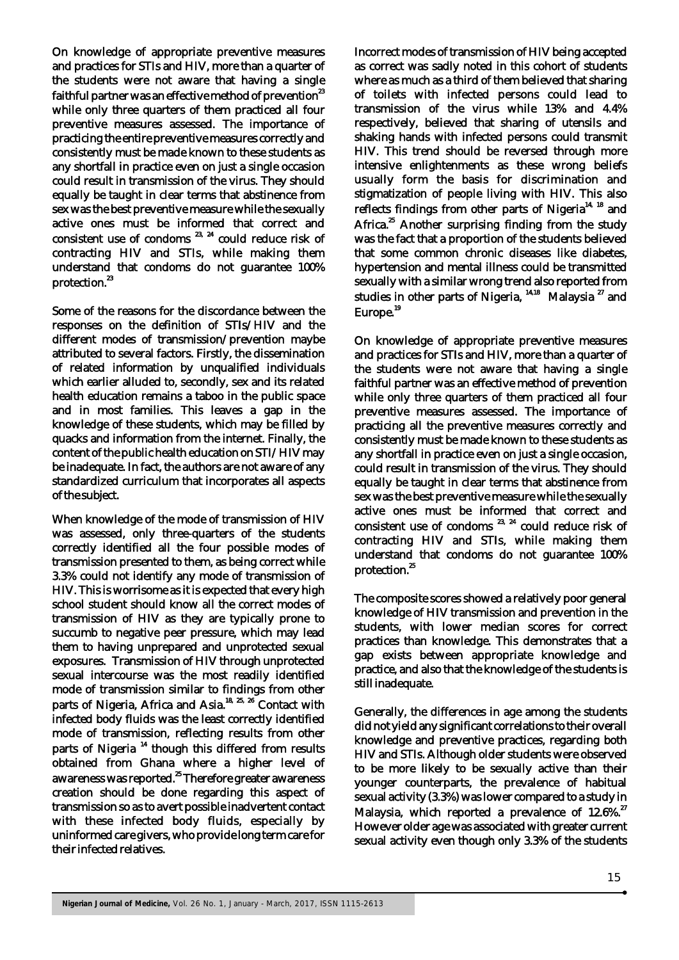On knowledge of appropriate preventive measures and practices for STIs and HIV, more than a quarter of the students were not aware that having a single faithful partner was an effective method of prevention<sup>23</sup> while only three quarters of them practiced all four preventive measures assessed. The importance of practicing the entire preventive measures correctly and consistently must be made known to these students as any shortfall in practice even on just a single occasion could result in transmission of the virus. They should equally be taught in clear terms that abstinence from sex was the best preventive measure while the sexually active ones must be informed that correct and consistent use of condoms  $23, 24$  could reduce risk of contracting HIV and STIs, while making them understand that condoms do not guarantee 100% protection.<sup>23</sup>

Some of the reasons for the discordance between the responses on the definition of STIs/HIV and the different modes of transmission/prevention maybe attributed to several factors. Firstly, the dissemination of related information by unqualified individuals which earlier alluded to, secondly, sex and its related health education remains a taboo in the public space and in most families. This leaves a gap in the knowledge of these students, which may be filled by quacks and information from the internet. Finally, the content of the public health education on STI/HIV may be inadequate. In fact, the authors are not aware of any standardized curriculum that incorporates all aspects of the subject.

When knowledge of the mode of transmission of HIV was assessed, only three-quarters of the students correctly identified all the four possible modes of transmission presented to them, as being correct while 3.3% could not identify any mode of transmission of HIV. This is worrisome as it is expected that every high school student should know all the correct modes of transmission of HIV as they are typically prone to succumb to negative peer pressure, which may lead them to having unprepared and unprotected sexual exposures. Transmission of HIV through unprotected sexual intercourse was the most readily identified mode of transmission similar to findings from other parts of Nigeria, Africa and Asia.<sup>18, 25, 26</sup> Contact with infected body fluids was the least correctly identified mode of transmission, reflecting results from other parts of Nigeria<sup>14</sup> though this differed from results obtained from Ghana where a higher level of<br>awareness was reported.<sup>25</sup> Therefore greater awareness creation should be done regarding this aspect of transmission so as to avert possible inadvertent contact with these infected body fluids, especially by uninformed care givers, who provide long term care for their infected relatives.

Incorrect modes of transmission of HIV being accepted as correct was sadly noted in this cohort of students where as much as a third of them believed that sharing of toilets with infected persons could lead to transmission of the virus while 13% and 4.4% respectively, believed that sharing of utensils and shaking hands with infected persons could transmit HIV. This trend should be reversed through more intensive enlightenments as these wrong beliefs usually form the basis for discrimination and stigmatization of people living with HIV. This also reflects findings from other parts of Nigeria<sup>14, 18</sup> and Africa.<sup>25</sup> Another surprising finding from the study was the fact that a proportion of the students believed that some common chronic diseases like diabetes, hypertension and mental illness could be transmitted sexually with a similar wrong trend also reported from studies in other parts of Nigeria,  $14,18$  Malaysia  $27$  and Europe.<sup>19</sup>

On knowledge of appropriate preventive measures and practices for STIs and HIV, more than a quarter of the students were not aware that having a single faithful partner was an effective method of prevention while only three quarters of them practiced all four preventive measures assessed. The importance of practicing all the preventive measures correctly and consistently must be made known to these students as any shortfall in practice even on just a single occasion, could result in transmission of the virus. They should equally be taught in clear terms that abstinence from sex was the best preventive measure while the sexually active ones must be informed that correct and consistent use of condoms  $23, 24$  could reduce risk of contracting HIV and STIs, while making them understand that condoms do not guarantee 100% protection.<sup>25</sup>

The composite scores showed a relatively poor general knowledge of HIV transmission and prevention in the students, with lower median scores for correct practices than knowledge. This demonstrates that a gap exists between appropriate knowledge and practice, and also that the knowledge of the students is still inadequate.

Generally, the differences in age among the students did not yield any significant correlations to their overall knowledge and preventive practices, regarding both HIV and STIs. Although older students were observed to be more likely to be sexually active than their younger counterparts, the prevalence of habitual sexual activity (3.3%) was lower compared to a study in Malaysia, which reported a prevalence of 12.6%.<sup>27</sup> However older age was associated with greater current sexual activity even though only 3.3% of the students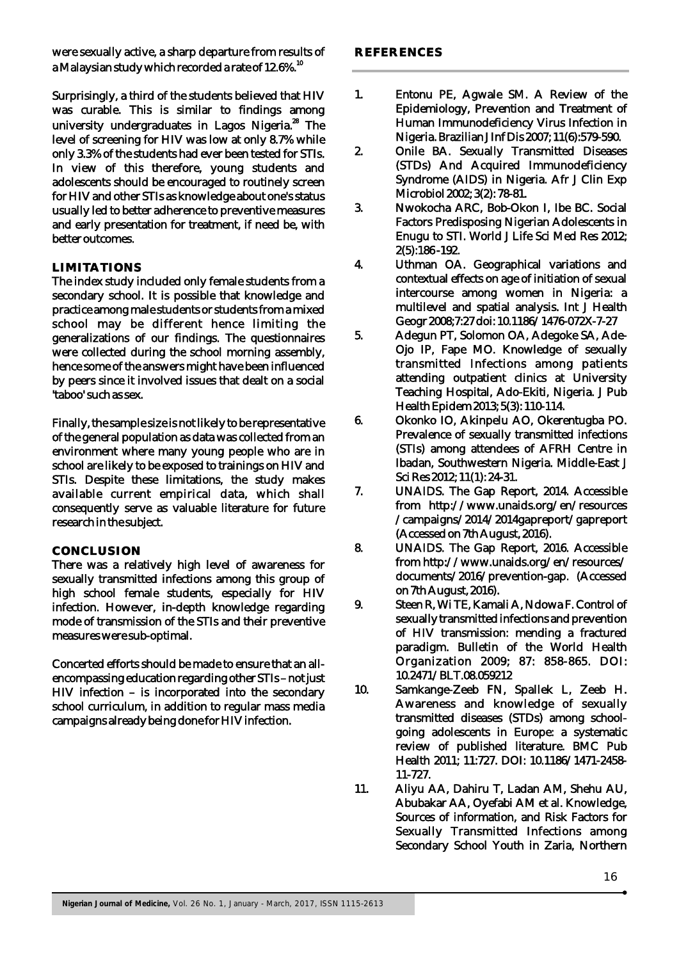were sexually active, a sharp departure from results of a Malaysian study which recorded a rate of 12.6%. $^{\rm 10}$ 

Surprisingly, a third of the students believed that HIV was curable. This is similar to findings among university undergraduates in Lagos Nigeria.<sup>28</sup> The level of screening for HIV was low at only 8.7% while only 3.3% of the students had ever been tested for STIs. In view of this therefore, young students and adolescents should be encouraged to routinely screen for HIV and other STIs as knowledge about one's status usually led to better adherence to preventive measures and early presentation for treatment, if need be, with better outcomes.

#### **LIMITATIONS**

The index study included only female students from a secondary school. It is possible that knowledge and practice among male students or students from a mixed school may be different hence limiting the generalizations of our findings. The questionnaires were collected during the school morning assembly, hence some of the answers might have been influenced by peers since it involved issues that dealt on a social 'taboo' such as sex.

Finally, the sample size is not likely to be representative of the general population as data was collected from an environment where many young people who are in school are likely to be exposed to trainings on HIV and STIs. Despite these limitations, the study makes available current empirical data, which shall consequently serve as valuable literature for future research in the subject.

#### **CONCLUSION**

There was a relatively high level of awareness for sexually transmitted infections among this group of high school female students, especially for HIV infection. However, in-depth knowledge regarding mode of transmission of the STIs and their preventive measures were sub-optimal.

Concerted efforts should be made to ensure that an allencompassing education regarding other STIs – not just HIV infection – is incorporated into the secondary school curriculum, in addition to regular mass media campaigns already being done for HIV infection.

- 1. Entonu PE, Agwale SM. A Review of the Epidemiology, Prevention and Treatment of Human Immunodeficiency Virus Infection in Nigeria. Brazilian J Inf Dis 2007; 11(6):579-590.
- 2. Onile BA. Sexually Transmitted Diseases (STDs) And Acquired Immunodeficiency Syndrome (AIDS) in Nigeria. Afr J Clin Exp Microbiol 2002; 3(2): 78-81.
- 3. Nwokocha ARC, Bob-Okon I, Ibe BC. Social Factors Predisposing Nigerian Adolescents in Enugu to STI. World J Life Sci Med Res 2012; 2(5):186 -192.
- 4. Uthman OA. Geographical variations and contextual effects on age of initiation of sexual intercourse among women in Nigeria: a multilevel and spatial analysis. Int J Health Geogr 2008;7:27 doi: 10.1186/1476-072X-7-27
- 5. Adegun PT, Solomon OA, Adegoke SA, Ade-Ojo IP, Fape MO. Knowledge of sexually transmitted Infections among patients attending outpatient clinics at University Teaching Hospital, Ado-Ekiti, Nigeria. J Pub Health Epidem 2013; 5(3): 110-114.
- 6. Okonko IO, Akinpelu AO, Okerentugba PO. Prevalence of sexually transmitted infections (STIs) among attendees of AFRH Centre in Ibadan, Southwestern Nigeria. Middle-East J Sci Res 2012; 11(1): 24-31.
- 7. UNAIDS. The Gap Report, 2014. Accessible from http://www.unaids.org/en/resources /campaigns/2014/2014gapreport/gapreport (Accessed on 7th August, 2016).
- 8. UNAIDS. The Gap Report, 2016. Accessible from http://www.unaids.org/en/resources/ documents/2016/prevention-gap. (Accessed on 7th August, 2016).
- 9. Steen R, Wi TE, Kamali A, Ndowa F. Control of sexually transmitted infections and prevention of HIV transmission: mending a fractured paradigm. Bulletin of the World Health Organization 2009; 87: 858-865. DOI: 10.2471/BLT.08.059212
- 10. Samkange-Zeeb FN, Spallek L, Zeeb H. Awareness and knowledge of sexually transmitted diseases (STDs) among schoolgoing adolescents in Europe: a systematic review of published literature. BMC Pub Health 2011; 11:727. DOI: 10.1186/1471-2458- 11-727.
- 11. Aliyu AA, Dahiru T, Ladan AM, Shehu AU, Abubakar AA, Oyefabi AM et al. Knowledge, Sources of information, and Risk Factors for Sexually Transmitted Infections among Secondary School Youth in Zaria, Northern